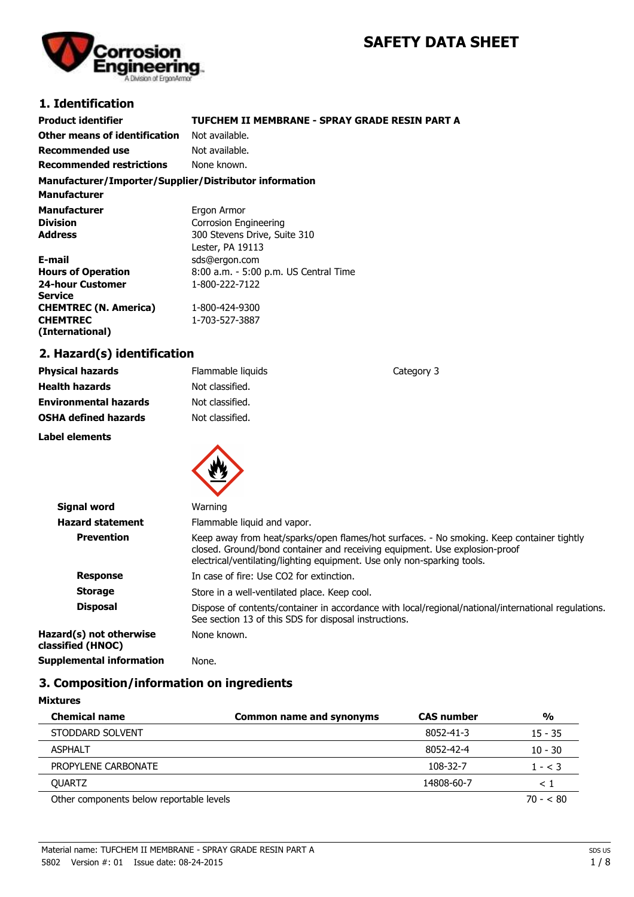# **SAFETY DATA SHEET**

**Category 3** 



### **1. Identification**

| <b>Product identifier</b>                              | TUFCHEM II MEMBRANE - SPRAY GRADE RESIN PART A |
|--------------------------------------------------------|------------------------------------------------|
| Other means of identification                          | Not available.                                 |
| Recommended use                                        | Not available.                                 |
| <b>Recommended restrictions</b>                        | None known.                                    |
| Manufacturer/Importer/Supplier/Distributor information |                                                |

**Manufacturer**

| Manufacturer                 | Ergon Armor                           |
|------------------------------|---------------------------------------|
| <b>Division</b>              | Corrosion Engineering                 |
| Address                      | 300 Stevens Drive, Suite 310          |
|                              | Lester, PA 19113                      |
| E-mail                       | sds@ergon.com                         |
| <b>Hours of Operation</b>    | 8:00 a.m. - 5:00 p.m. US Central Time |
| <b>24-hour Customer</b>      | 1-800-222-7122                        |
| Service                      |                                       |
| <b>CHEMTREC (N. America)</b> | 1-800-424-9300                        |
| <b>CHEMTREC</b>              | 1-703-527-3887                        |
| (International)              |                                       |

#### **2. Hazard(s) identification**

| <b>Physical hazards</b>      | Flammable liquids |
|------------------------------|-------------------|
| <b>Health hazards</b>        | Not classified.   |
| <b>Environmental hazards</b> | Not classified.   |
| <b>OSHA defined hazards</b>  | Not classified.   |
|                              |                   |

**Label elements**



| Signal word                                  | Warning                                                                                                                                                                                                                                            |
|----------------------------------------------|----------------------------------------------------------------------------------------------------------------------------------------------------------------------------------------------------------------------------------------------------|
| <b>Hazard statement</b>                      | Flammable liquid and vapor.                                                                                                                                                                                                                        |
| <b>Prevention</b>                            | Keep away from heat/sparks/open flames/hot surfaces. - No smoking. Keep container tightly<br>closed. Ground/bond container and receiving equipment. Use explosion-proof<br>electrical/ventilating/lighting equipment. Use only non-sparking tools. |
| <b>Response</b>                              | In case of fire: Use CO2 for extinction.                                                                                                                                                                                                           |
| <b>Storage</b>                               | Store in a well-ventilated place. Keep cool.                                                                                                                                                                                                       |
| <b>Disposal</b>                              | Dispose of contents/container in accordance with local/regional/national/international regulations.<br>See section 13 of this SDS for disposal instructions.                                                                                       |
| Hazard(s) not otherwise<br>classified (HNOC) | None known.                                                                                                                                                                                                                                        |
| <b>Supplemental information</b>              | None.                                                                                                                                                                                                                                              |

## **3. Composition/information on ingredients**

| <b>Mixtures</b>                          |                                 |                   |               |
|------------------------------------------|---------------------------------|-------------------|---------------|
| <b>Chemical name</b>                     | <b>Common name and synonyms</b> | <b>CAS number</b> | $\frac{0}{0}$ |
| STODDARD SOLVENT                         |                                 | 8052-41-3         | $15 - 35$     |
| <b>ASPHALT</b>                           |                                 | 8052-42-4         | $10 - 30$     |
| PROPYLENE CARBONATE                      |                                 | 108-32-7          | $1 - < 3$     |
| <b>OUARTZ</b>                            |                                 | 14808-60-7        | $\leq$ 1      |
| Other components below reportable levels |                                 |                   | $70 - 80$     |

Material name: TUFCHEM II MEMBRANE - SPRAY GRADE RESIN PART A 5802 Version #: 01 Issue date: 08-24-2015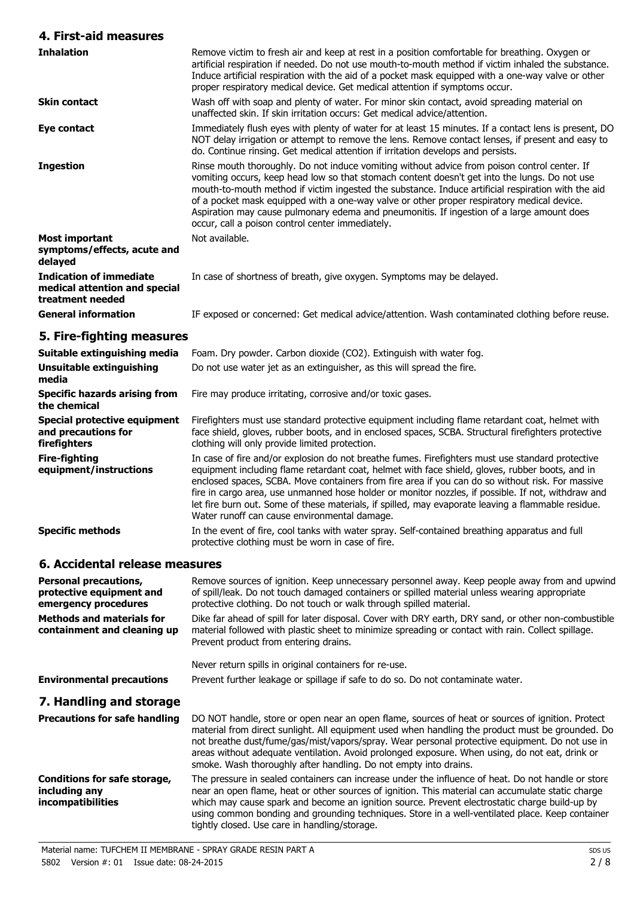#### **4. First-aid measures**

| <b>Inhalation</b>                                                                   | Remove victim to fresh air and keep at rest in a position comfortable for breathing. Oxygen or<br>artificial respiration if needed. Do not use mouth-to-mouth method if victim inhaled the substance.<br>Induce artificial respiration with the aid of a pocket mask equipped with a one-way valve or other<br>proper respiratory medical device. Get medical attention if symptoms occur.                                                                                                                                                         |
|-------------------------------------------------------------------------------------|----------------------------------------------------------------------------------------------------------------------------------------------------------------------------------------------------------------------------------------------------------------------------------------------------------------------------------------------------------------------------------------------------------------------------------------------------------------------------------------------------------------------------------------------------|
| <b>Skin contact</b>                                                                 | Wash off with soap and plenty of water. For minor skin contact, avoid spreading material on<br>unaffected skin. If skin irritation occurs: Get medical advice/attention.                                                                                                                                                                                                                                                                                                                                                                           |
| Eye contact                                                                         | Immediately flush eyes with plenty of water for at least 15 minutes. If a contact lens is present, DO<br>NOT delay irrigation or attempt to remove the lens. Remove contact lenses, if present and easy to<br>do. Continue rinsing. Get medical attention if irritation develops and persists.                                                                                                                                                                                                                                                     |
| <b>Ingestion</b>                                                                    | Rinse mouth thoroughly. Do not induce vomiting without advice from poison control center. If<br>vomiting occurs, keep head low so that stomach content doesn't get into the lungs. Do not use<br>mouth-to-mouth method if victim ingested the substance. Induce artificial respiration with the aid<br>of a pocket mask equipped with a one-way valve or other proper respiratory medical device.<br>Aspiration may cause pulmonary edema and pneumonitis. If ingestion of a large amount does<br>occur, call a poison control center immediately. |
| Most important<br>symptoms/effects, acute and<br>delayed                            | Not available.                                                                                                                                                                                                                                                                                                                                                                                                                                                                                                                                     |
| <b>Indication of immediate</b><br>medical attention and special<br>treatment needed | In case of shortness of breath, give oxygen. Symptoms may be delayed.                                                                                                                                                                                                                                                                                                                                                                                                                                                                              |
| <b>General information</b>                                                          | IF exposed or concerned: Get medical advice/attention. Wash contaminated clothing before reuse.                                                                                                                                                                                                                                                                                                                                                                                                                                                    |
| 5. Fire-fighting measures                                                           |                                                                                                                                                                                                                                                                                                                                                                                                                                                                                                                                                    |
| Suitable extinguishing media                                                        | Foam. Dry powder. Carbon dioxide (CO2). Extinguish with water fog.                                                                                                                                                                                                                                                                                                                                                                                                                                                                                 |
| <b>Unsuitable extinguishing</b><br>media                                            | Do not use water jet as an extinguisher, as this will spread the fire.                                                                                                                                                                                                                                                                                                                                                                                                                                                                             |
| <b>Specific hazards arising from</b><br>the chemical                                | Fire may produce irritating, corrosive and/or toxic gases.                                                                                                                                                                                                                                                                                                                                                                                                                                                                                         |
| Special protective equipment<br>and precautions for<br>firefighters                 | Firefighters must use standard protective equipment including flame retardant coat, helmet with<br>face shield, gloves, rubber boots, and in enclosed spaces, SCBA. Structural firefighters protective<br>clothing will only provide limited protection.                                                                                                                                                                                                                                                                                           |
| <b>Fire-fighting</b><br>equipment/instructions                                      | In case of fire and/or explosion do not breathe fumes. Firefighters must use standard protective<br>equipment including flame retardant coat, helmet with face shield, gloves, rubber boots, and in<br>enclosed spaces, SCBA. Move containers from fire area if you can do so without risk. For massive<br>fire in cargo area, use unmanned hose holder or monitor nozzles, if possible. If not, withdraw and<br>let fire burn out. Some of these materials, if spilled, may evaporate leaving a flammable residue.                                |

Water runoff can cause environmental damage. **Specific methods** In the event of fire, cool tanks with water spray. Self-contained breathing apparatus and full protective clothing must be worn in case of fire.

#### **6. Accidental release measures**

| <b>Personal precautions,</b><br>protective equipment and<br>emergency procedures | Remove sources of ignition. Keep unnecessary personnel away. Keep people away from and upwind<br>of spill/leak. Do not touch damaged containers or spilled material unless wearing appropriate<br>protective clothing. Do not touch or walk through spilled material.                                                                                                                                                                                                        |
|----------------------------------------------------------------------------------|------------------------------------------------------------------------------------------------------------------------------------------------------------------------------------------------------------------------------------------------------------------------------------------------------------------------------------------------------------------------------------------------------------------------------------------------------------------------------|
| <b>Methods and materials for</b><br>containment and cleaning up                  | Dike far ahead of spill for later disposal. Cover with DRY earth, DRY sand, or other non-combustible<br>material followed with plastic sheet to minimize spreading or contact with rain. Collect spillage.<br>Prevent product from entering drains.                                                                                                                                                                                                                          |
|                                                                                  | Never return spills in original containers for re-use.                                                                                                                                                                                                                                                                                                                                                                                                                       |
| <b>Environmental precautions</b>                                                 | Prevent further leakage or spillage if safe to do so. Do not contaminate water.                                                                                                                                                                                                                                                                                                                                                                                              |
| 7. Handling and storage                                                          |                                                                                                                                                                                                                                                                                                                                                                                                                                                                              |
| <b>Precautions for safe handling</b>                                             | DO NOT handle, store or open near an open flame, sources of heat or sources of ignition. Protect<br>material from direct sunlight. All equipment used when handling the product must be grounded. Do<br>not breathe dust/fume/gas/mist/vapors/spray. Wear personal protective equipment. Do not use in<br>areas without adequate ventilation. Avoid prolonged exposure. When using, do not eat, drink or<br>smoke. Wash thoroughly after handling. Do not empty into drains. |
| Conditions for safe storage,<br>including any<br><i>incompatibilities</i>        | The pressure in sealed containers can increase under the influence of heat. Do not handle or store<br>near an open flame, heat or other sources of ignition. This material can accumulate static charge<br>which may cause spark and become an ignition source. Prevent electrostatic charge build-up by<br>using common bonding and grounding techniques. Store in a well-ventilated place. Keep container                                                                  |

tightly closed. Use care in handling/storage.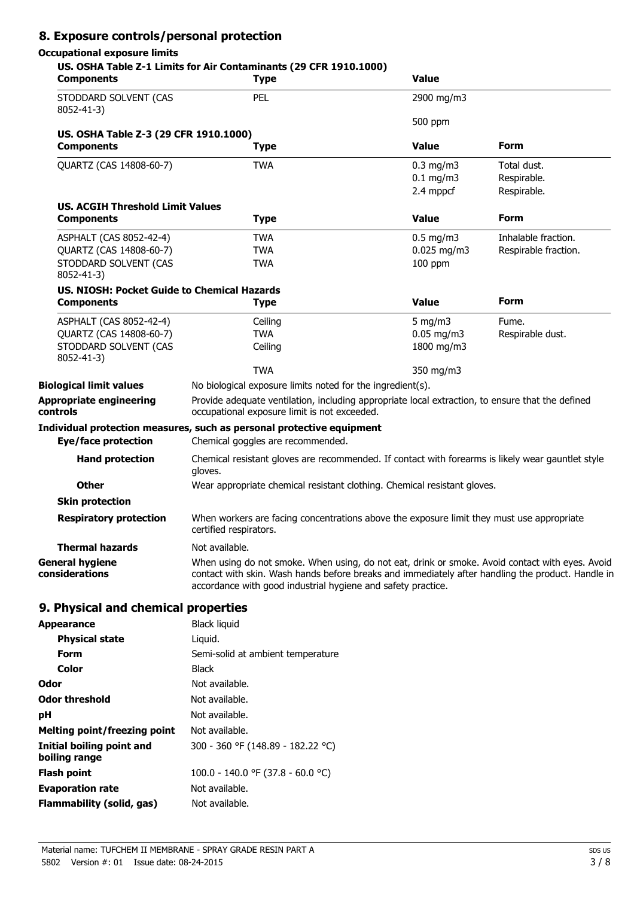## **8. Exposure controls/personal protection**

### **Occupational exposure limits**

| <b>Components</b>                                          | US. OSHA Table Z-1 Limits for Air Contaminants (29 CFR 1910.1000)<br><b>Type</b>                                                                                                                                                                                     | <b>Value</b>                               |                                           |
|------------------------------------------------------------|----------------------------------------------------------------------------------------------------------------------------------------------------------------------------------------------------------------------------------------------------------------------|--------------------------------------------|-------------------------------------------|
| STODDARD SOLVENT (CAS<br>8052-41-3)                        | PEL                                                                                                                                                                                                                                                                  | 2900 mg/m3                                 |                                           |
|                                                            |                                                                                                                                                                                                                                                                      | 500 ppm                                    |                                           |
| US. OSHA Table Z-3 (29 CFR 1910.1000)<br><b>Components</b> | <b>Type</b>                                                                                                                                                                                                                                                          | <b>Value</b>                               | Form                                      |
| QUARTZ (CAS 14808-60-7)                                    | <b>TWA</b>                                                                                                                                                                                                                                                           | $0.3$ mg/m $3$<br>$0.1$ mg/m3<br>2.4 mppcf | Total dust.<br>Respirable.<br>Respirable. |
| <b>US. ACGIH Threshold Limit Values</b>                    |                                                                                                                                                                                                                                                                      |                                            |                                           |
| <b>Components</b>                                          | <b>Type</b>                                                                                                                                                                                                                                                          | <b>Value</b>                               | Form                                      |
| ASPHALT (CAS 8052-42-4)                                    | <b>TWA</b>                                                                                                                                                                                                                                                           | $0.5$ mg/m3                                | Inhalable fraction.                       |
| QUARTZ (CAS 14808-60-7)                                    | <b>TWA</b>                                                                                                                                                                                                                                                           | $0.025$ mg/m3                              | Respirable fraction.                      |
| STODDARD SOLVENT (CAS<br>8052-41-3)                        | <b>TWA</b>                                                                                                                                                                                                                                                           | $100$ ppm                                  |                                           |
| US. NIOSH: Pocket Guide to Chemical Hazards                |                                                                                                                                                                                                                                                                      |                                            |                                           |
| <b>Components</b>                                          | <b>Type</b>                                                                                                                                                                                                                                                          | <b>Value</b>                               | Form                                      |
| ASPHALT (CAS 8052-42-4)                                    | Ceiling                                                                                                                                                                                                                                                              | 5 mg/m $3$                                 | Fume.                                     |
| QUARTZ (CAS 14808-60-7)                                    | <b>TWA</b>                                                                                                                                                                                                                                                           | $0.05$ mg/m3                               | Respirable dust.                          |
| STODDARD SOLVENT (CAS<br>8052-41-3)                        | Ceiling                                                                                                                                                                                                                                                              | 1800 mg/m3                                 |                                           |
|                                                            | <b>TWA</b>                                                                                                                                                                                                                                                           | 350 mg/m3                                  |                                           |
| <b>Biological limit values</b>                             | No biological exposure limits noted for the ingredient(s).                                                                                                                                                                                                           |                                            |                                           |
| Appropriate engineering<br>controls                        | Provide adequate ventilation, including appropriate local extraction, to ensure that the defined<br>occupational exposure limit is not exceeded.                                                                                                                     |                                            |                                           |
|                                                            | Individual protection measures, such as personal protective equipment                                                                                                                                                                                                |                                            |                                           |
| <b>Eye/face protection</b>                                 | Chemical goggles are recommended.                                                                                                                                                                                                                                    |                                            |                                           |
| <b>Hand protection</b>                                     | Chemical resistant gloves are recommended. If contact with forearms is likely wear gauntlet style<br>gloves.                                                                                                                                                         |                                            |                                           |
| <b>Other</b>                                               | Wear appropriate chemical resistant clothing. Chemical resistant gloves.                                                                                                                                                                                             |                                            |                                           |
| <b>Skin protection</b>                                     |                                                                                                                                                                                                                                                                      |                                            |                                           |
| <b>Respiratory protection</b>                              | When workers are facing concentrations above the exposure limit they must use appropriate<br>certified respirators.                                                                                                                                                  |                                            |                                           |
| <b>Thermal hazards</b>                                     | Not available.                                                                                                                                                                                                                                                       |                                            |                                           |
| <b>General hygiene</b><br>considerations                   | When using do not smoke. When using, do not eat, drink or smoke. Avoid contact with eyes. Avoid<br>contact with skin. Wash hands before breaks and immediately after handling the product. Handle in<br>accordance with good industrial hygiene and safety practice. |                                            |                                           |
| 9. Physical and chemical properties                        |                                                                                                                                                                                                                                                                      |                                            |                                           |
| Appearance                                                 | <b>Black liquid</b>                                                                                                                                                                                                                                                  |                                            |                                           |
|                                                            |                                                                                                                                                                                                                                                                      |                                            |                                           |

| <b>Appearance</b>                          | <b>Black liquid</b>               |
|--------------------------------------------|-----------------------------------|
| <b>Physical state</b>                      | Liguid.                           |
| Form                                       | Semi-solid at ambient temperature |
| Color                                      | <b>Black</b>                      |
| Odor                                       | Not available.                    |
| <b>Odor threshold</b>                      | Not available.                    |
| рH                                         | Not available.                    |
| Melting point/freezing point               | Not available.                    |
| Initial boiling point and<br>boiling range | 300 - 360 °F (148.89 - 182.22 °C) |
| <b>Flash point</b>                         | 100.0 - 140.0 °F (37.8 - 60.0 °C) |
| <b>Evaporation rate</b>                    | Not available.                    |
| <b>Flammability (solid, gas)</b>           | Not available.                    |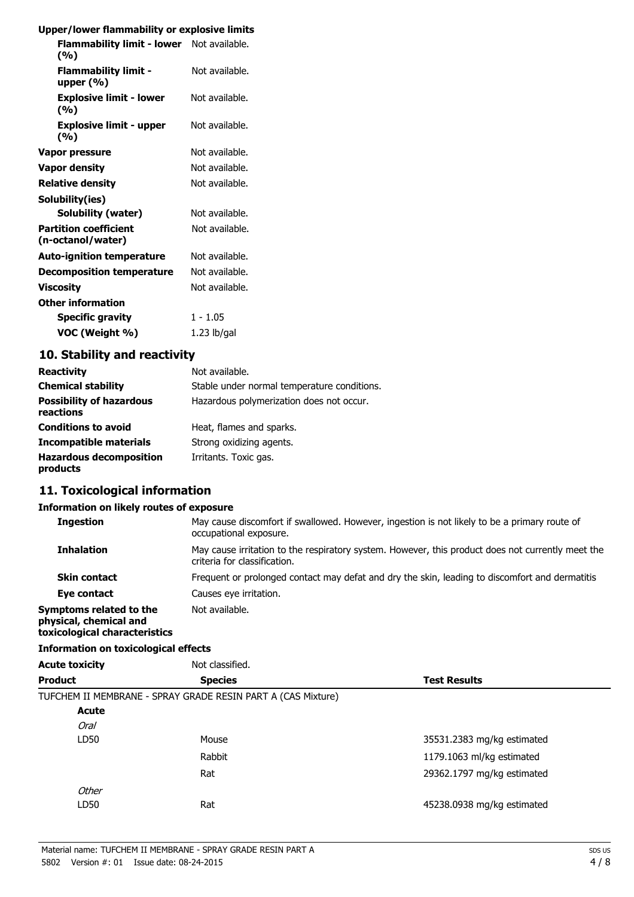#### **Upper/lower flammability or explosive limits**

| <b>PPC:/ion.c. hanningpinty of capital.</b>       |                |
|---------------------------------------------------|----------------|
| Flammability limit - lower Not available.<br>(%)  |                |
| <b>Flammability limit -</b><br>upper $(\%)$       | Not available. |
| <b>Explosive limit - lower</b><br>(%)             | Not available. |
| <b>Explosive limit - upper</b><br>(%)             | Not available. |
| Vapor pressure                                    | Not available. |
| Vapor density                                     | Not available. |
| <b>Relative density</b>                           | Not available. |
| Solubility(ies)                                   |                |
| Solubility (water)                                | Not available. |
| <b>Partition coefficient</b><br>(n-octanol/water) | Not available. |
| <b>Auto-ignition temperature</b>                  | Not available. |
| <b>Decomposition temperature</b>                  | Not available. |
| <b>Viscosity</b>                                  | Not available. |
| <b>Other information</b>                          |                |
| <b>Specific gravity</b>                           | $1 - 1.05$     |
| VOC (Weight %)                                    | $1.23$ lb/gal  |

## **10. Stability and reactivity**

| <b>Reactivity</b>                            | Not available.                              |
|----------------------------------------------|---------------------------------------------|
| <b>Chemical stability</b>                    | Stable under normal temperature conditions. |
| <b>Possibility of hazardous</b><br>reactions | Hazardous polymerization does not occur.    |
| <b>Conditions to avoid</b>                   | Heat, flames and sparks.                    |
| Incompatible materials                       | Strong oxidizing agents.                    |
| <b>Hazardous decomposition</b><br>products   | Irritants. Toxic gas.                       |

## **11. Toxicological information**

#### **Information on likely routes of exposure**

| <b>Ingestion</b>                                  | May cause discomfort if swallowed. However, ingestion is not likely to be a primary route of<br>occupational exposure.            |
|---------------------------------------------------|-----------------------------------------------------------------------------------------------------------------------------------|
| <b>Inhalation</b>                                 | May cause irritation to the respiratory system. However, this product does not currently meet the<br>criteria for classification. |
| <b>Skin contact</b>                               | Frequent or prolonged contact may defat and dry the skin, leading to discomfort and dermatitis.                                   |
| Eye contact                                       | Causes eye irritation.                                                                                                            |
| Symptoms related to the<br>physical, chemical and | Not available.                                                                                                                    |

#### **Information on toxicological effects**

**toxicological characteristics**

| <b>Acute toxicity</b> | Not classified.                                              |                            |
|-----------------------|--------------------------------------------------------------|----------------------------|
| <b>Product</b>        | <b>Species</b>                                               | <b>Test Results</b>        |
|                       | TUFCHEM II MEMBRANE - SPRAY GRADE RESIN PART A (CAS Mixture) |                            |
| <b>Acute</b>          |                                                              |                            |
| <b>Oral</b>           |                                                              |                            |
| LD50                  | Mouse                                                        | 35531.2383 mg/kg estimated |
|                       | Rabbit                                                       | 1179.1063 ml/kg estimated  |
|                       | Rat                                                          | 29362.1797 mg/kg estimated |
| Other                 |                                                              |                            |
| LD50                  | Rat                                                          | 45238.0938 mg/kg estimated |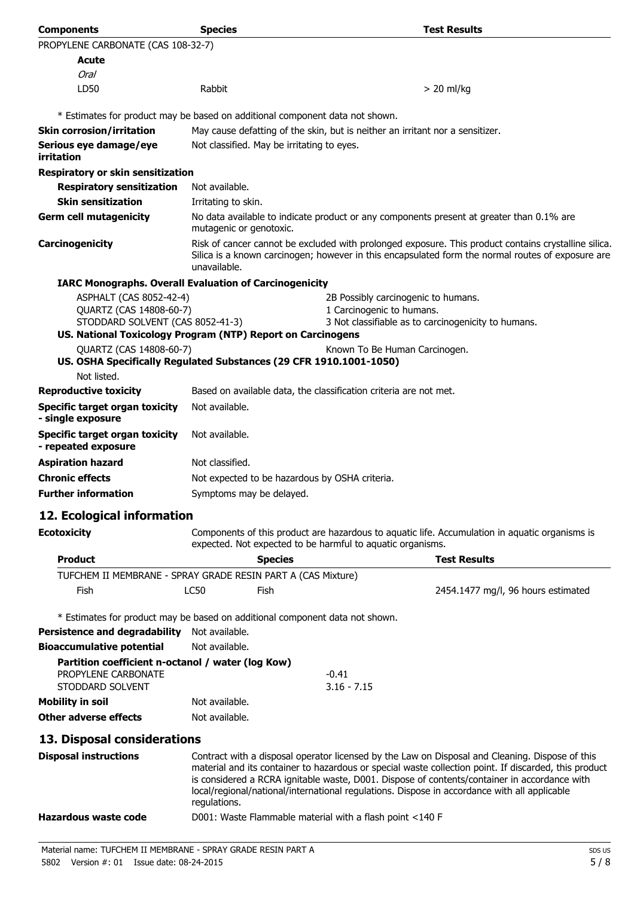| <b>Components</b>                                                                               | <b>Species</b>                                                                                                                                                                                                            | <b>Test Results</b>                                                                                                                                                                                                                                                                                                                                                                                      |
|-------------------------------------------------------------------------------------------------|---------------------------------------------------------------------------------------------------------------------------------------------------------------------------------------------------------------------------|----------------------------------------------------------------------------------------------------------------------------------------------------------------------------------------------------------------------------------------------------------------------------------------------------------------------------------------------------------------------------------------------------------|
| PROPYLENE CARBONATE (CAS 108-32-7)                                                              |                                                                                                                                                                                                                           |                                                                                                                                                                                                                                                                                                                                                                                                          |
| <b>Acute</b>                                                                                    |                                                                                                                                                                                                                           |                                                                                                                                                                                                                                                                                                                                                                                                          |
| Oral                                                                                            |                                                                                                                                                                                                                           |                                                                                                                                                                                                                                                                                                                                                                                                          |
| LD50                                                                                            | Rabbit                                                                                                                                                                                                                    | $> 20$ ml/kg                                                                                                                                                                                                                                                                                                                                                                                             |
| * Estimates for product may be based on additional component data not shown.                    |                                                                                                                                                                                                                           |                                                                                                                                                                                                                                                                                                                                                                                                          |
| <b>Skin corrosion/irritation</b>                                                                |                                                                                                                                                                                                                           | May cause defatting of the skin, but is neither an irritant nor a sensitizer.                                                                                                                                                                                                                                                                                                                            |
| Serious eye damage/eye<br>irritation                                                            | Not classified. May be irritating to eyes.                                                                                                                                                                                |                                                                                                                                                                                                                                                                                                                                                                                                          |
| Respiratory or skin sensitization                                                               |                                                                                                                                                                                                                           |                                                                                                                                                                                                                                                                                                                                                                                                          |
| <b>Respiratory sensitization</b>                                                                | Not available.                                                                                                                                                                                                            |                                                                                                                                                                                                                                                                                                                                                                                                          |
| <b>Skin sensitization</b>                                                                       | Irritating to skin.                                                                                                                                                                                                       |                                                                                                                                                                                                                                                                                                                                                                                                          |
| <b>Germ cell mutagenicity</b>                                                                   | No data available to indicate product or any components present at greater than 0.1% are<br>mutagenic or genotoxic.                                                                                                       |                                                                                                                                                                                                                                                                                                                                                                                                          |
| Carcinogenicity                                                                                 | Risk of cancer cannot be excluded with prolonged exposure. This product contains crystalline silica.<br>Silica is a known carcinogen; however in this encapsulated form the normal routes of exposure are<br>unavailable. |                                                                                                                                                                                                                                                                                                                                                                                                          |
| <b>IARC Monographs. Overall Evaluation of Carcinogenicity</b>                                   |                                                                                                                                                                                                                           |                                                                                                                                                                                                                                                                                                                                                                                                          |
| ASPHALT (CAS 8052-42-4)                                                                         |                                                                                                                                                                                                                           | 2B Possibly carcinogenic to humans.                                                                                                                                                                                                                                                                                                                                                                      |
| QUARTZ (CAS 14808-60-7)                                                                         |                                                                                                                                                                                                                           | 1 Carcinogenic to humans.                                                                                                                                                                                                                                                                                                                                                                                |
| STODDARD SOLVENT (CAS 8052-41-3)<br>US. National Toxicology Program (NTP) Report on Carcinogens |                                                                                                                                                                                                                           | 3 Not classifiable as to carcinogenicity to humans.                                                                                                                                                                                                                                                                                                                                                      |
| QUARTZ (CAS 14808-60-7)                                                                         |                                                                                                                                                                                                                           | Known To Be Human Carcinogen.                                                                                                                                                                                                                                                                                                                                                                            |
| US. OSHA Specifically Regulated Substances (29 CFR 1910.1001-1050)                              |                                                                                                                                                                                                                           |                                                                                                                                                                                                                                                                                                                                                                                                          |
| Not listed.                                                                                     |                                                                                                                                                                                                                           |                                                                                                                                                                                                                                                                                                                                                                                                          |
| <b>Reproductive toxicity</b>                                                                    |                                                                                                                                                                                                                           | Based on available data, the classification criteria are not met.                                                                                                                                                                                                                                                                                                                                        |
| <b>Specific target organ toxicity</b><br>- single exposure                                      | Not available.                                                                                                                                                                                                            |                                                                                                                                                                                                                                                                                                                                                                                                          |
| <b>Specific target organ toxicity</b><br>- repeated exposure                                    | Not available.                                                                                                                                                                                                            |                                                                                                                                                                                                                                                                                                                                                                                                          |
| <b>Aspiration hazard</b>                                                                        | Not classified.                                                                                                                                                                                                           |                                                                                                                                                                                                                                                                                                                                                                                                          |
| <b>Chronic effects</b>                                                                          |                                                                                                                                                                                                                           | Not expected to be hazardous by OSHA criteria.                                                                                                                                                                                                                                                                                                                                                           |
| <b>Further information</b>                                                                      | Symptoms may be delayed.                                                                                                                                                                                                  |                                                                                                                                                                                                                                                                                                                                                                                                          |
| 12. Ecological information                                                                      |                                                                                                                                                                                                                           |                                                                                                                                                                                                                                                                                                                                                                                                          |
| <b>Ecotoxicity</b>                                                                              |                                                                                                                                                                                                                           | Components of this product are hazardous to aquatic life. Accumulation in aquatic organisms is<br>expected. Not expected to be harmful to aquatic organisms.                                                                                                                                                                                                                                             |
| <b>Product</b>                                                                                  |                                                                                                                                                                                                                           | <b>Test Results</b><br><b>Species</b>                                                                                                                                                                                                                                                                                                                                                                    |
| TUFCHEM II MEMBRANE - SPRAY GRADE RESIN PART A (CAS Mixture)                                    |                                                                                                                                                                                                                           |                                                                                                                                                                                                                                                                                                                                                                                                          |
| <b>Fish</b>                                                                                     | <b>LC50</b><br>Fish                                                                                                                                                                                                       | 2454.1477 mg/l, 96 hours estimated                                                                                                                                                                                                                                                                                                                                                                       |
| * Estimates for product may be based on additional component data not shown.                    |                                                                                                                                                                                                                           |                                                                                                                                                                                                                                                                                                                                                                                                          |
| <b>Persistence and degradability</b>                                                            | Not available.                                                                                                                                                                                                            |                                                                                                                                                                                                                                                                                                                                                                                                          |
| <b>Bioaccumulative potential</b>                                                                | Not available.                                                                                                                                                                                                            |                                                                                                                                                                                                                                                                                                                                                                                                          |
| Partition coefficient n-octanol / water (log Kow)<br>PROPYLENE CARBONATE                        |                                                                                                                                                                                                                           | $-0.41$                                                                                                                                                                                                                                                                                                                                                                                                  |
| STODDARD SOLVENT                                                                                |                                                                                                                                                                                                                           | $3.16 - 7.15$                                                                                                                                                                                                                                                                                                                                                                                            |
| <b>Mobility in soil</b>                                                                         | Not available.                                                                                                                                                                                                            |                                                                                                                                                                                                                                                                                                                                                                                                          |
| <b>Other adverse effects</b>                                                                    | Not available.                                                                                                                                                                                                            |                                                                                                                                                                                                                                                                                                                                                                                                          |
| 13. Disposal considerations                                                                     |                                                                                                                                                                                                                           |                                                                                                                                                                                                                                                                                                                                                                                                          |
| <b>Disposal instructions</b>                                                                    | regulations.                                                                                                                                                                                                              | Contract with a disposal operator licensed by the Law on Disposal and Cleaning. Dispose of this<br>material and its container to hazardous or special waste collection point. If discarded, this product<br>is considered a RCRA ignitable waste, D001. Dispose of contents/container in accordance with<br>local/regional/national/international regulations. Dispose in accordance with all applicable |
| <b>Hazardous waste code</b>                                                                     |                                                                                                                                                                                                                           | D001: Waste Flammable material with a flash point <140 F                                                                                                                                                                                                                                                                                                                                                 |
| Material name: TUFCHEM II MEMBRANE - SPRAY GRADE RESIN PART A                                   | 2045                                                                                                                                                                                                                      | SDS US<br><b>FIQ</b>                                                                                                                                                                                                                                                                                                                                                                                     |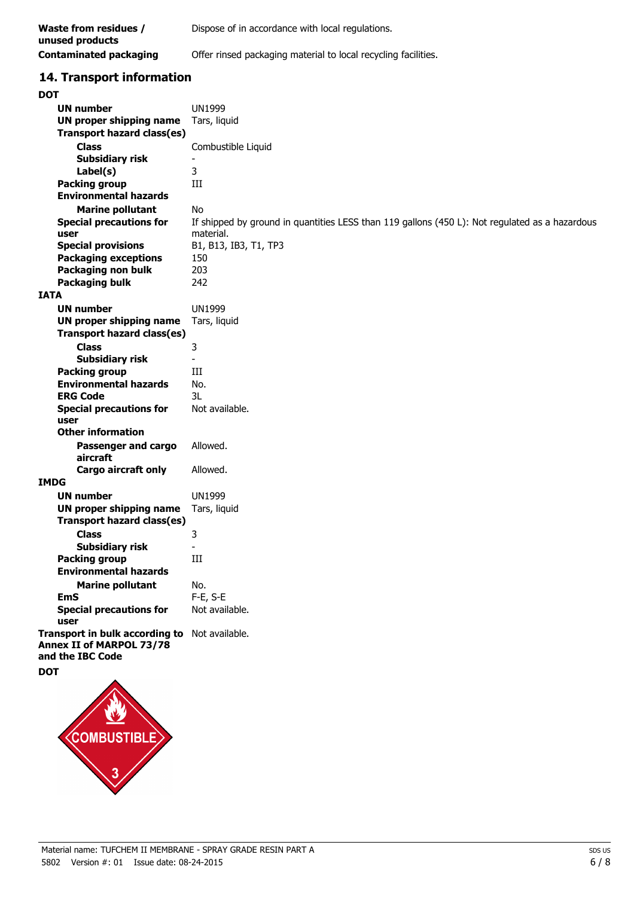| Waste from residues /<br>unused products | Dispose of in accordance with local regulations.               |
|------------------------------------------|----------------------------------------------------------------|
| Contaminated packaging                   | Offer rinsed packaging material to local recycling facilities. |

## **14. Transport information**

| <b>DOT</b>                                   |                                                                                                |
|----------------------------------------------|------------------------------------------------------------------------------------------------|
| <b>UN number</b>                             | <b>UN1999</b>                                                                                  |
| UN proper shipping name                      | Tars, liquid                                                                                   |
| <b>Transport hazard class(es)</b>            |                                                                                                |
| <b>Class</b>                                 | Combustible Liquid                                                                             |
| <b>Subsidiary risk</b>                       | $\overline{\phantom{a}}$                                                                       |
| Label(s)                                     | 3                                                                                              |
| <b>Packing group</b>                         | Ш                                                                                              |
| <b>Environmental hazards</b>                 |                                                                                                |
| <b>Marine pollutant</b>                      | <b>No</b>                                                                                      |
| <b>Special precautions for</b>               | If shipped by ground in quantities LESS than 119 gallons (450 L): Not regulated as a hazardous |
| user                                         | material.                                                                                      |
| <b>Special provisions</b>                    | B1, B13, IB3, T1, TP3                                                                          |
| <b>Packaging exceptions</b>                  | 150                                                                                            |
| Packaging non bulk                           | 203                                                                                            |
| <b>Packaging bulk</b>                        | 242                                                                                            |
| <b>IATA</b>                                  |                                                                                                |
| <b>UN number</b>                             | <b>UN1999</b>                                                                                  |
| <b>UN proper shipping name</b>               | Tars, liquid                                                                                   |
| <b>Transport hazard class(es)</b>            |                                                                                                |
| <b>Class</b>                                 | 3                                                                                              |
| <b>Subsidiary risk</b>                       |                                                                                                |
| <b>Packing group</b>                         | Ш                                                                                              |
| <b>Environmental hazards</b>                 | No.                                                                                            |
| <b>ERG Code</b>                              | 3L                                                                                             |
| <b>Special precautions for</b>               | Not available.                                                                                 |
| user                                         |                                                                                                |
| <b>Other information</b>                     |                                                                                                |
| Passenger and cargo                          | Allowed.                                                                                       |
| aircraft                                     |                                                                                                |
| Cargo aircraft only                          | Allowed.                                                                                       |
| <b>IMDG</b>                                  |                                                                                                |
| <b>UN number</b>                             | <b>UN1999</b>                                                                                  |
| <b>UN proper shipping name</b>               | Tars, liquid                                                                                   |
| <b>Transport hazard class(es)</b>            |                                                                                                |
| <b>Class</b>                                 | 3                                                                                              |
| Subsidiary risk                              |                                                                                                |
| <b>Packing group</b>                         | Ш                                                                                              |
| <b>Environmental hazards</b>                 |                                                                                                |
| <b>Marine pollutant</b>                      | No.                                                                                            |
| <b>EmS</b><br><b>Special precautions for</b> | F-E, S-E                                                                                       |
| user                                         | Not available.                                                                                 |
| Transport in bulk according to               | Not available.                                                                                 |
| <b>Annex II of MARPOL 73/78</b>              |                                                                                                |
| and the IBC Code                             |                                                                                                |
| <b>DOT</b>                                   |                                                                                                |
|                                              |                                                                                                |

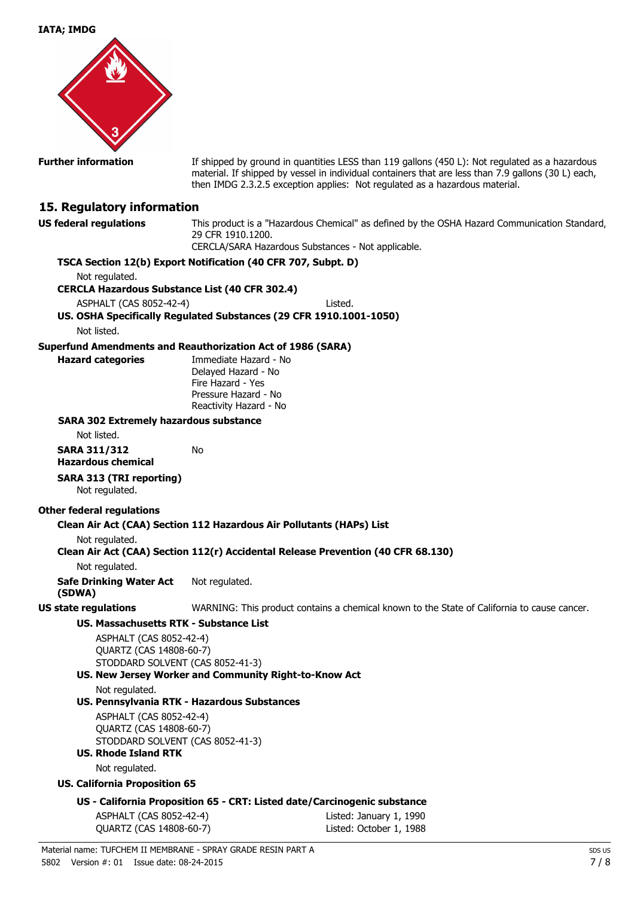**IATA; IMDG**



**Further information** If shipped by ground in quantities LESS than 119 gallons (450 L): Not regulated as a hazardous material. If shipped by vessel in individual containers that are less than 7.9 gallons (30 L) each, then IMDG 2.3.2.5 exception applies: Not regulated as a hazardous material.

#### **15. Regulatory information**

**US federal regulations** This product is a "Hazardous Chemical" as defined by the OSHA Hazard Communication Standard, 29 CFR 1910.1200. CERCLA/SARA Hazardous Substances - Not applicable.

**TSCA Section 12(b) Export Notification (40 CFR 707, Subpt. D)** Not regulated. **CERCLA Hazardous Substance List (40 CFR 302.4)** ASPHALT (CAS 8052-42-4) Listed. **US. OSHA Specifically Regulated Substances (29 CFR 1910.1001-1050)** Not listed. **Superfund Amendments and Reauthorization Act of 1986 (SARA) Hazard categories** Immediate Hazard - No Delayed Hazard - No Fire Hazard - Yes Pressure Hazard - No Reactivity Hazard - No **SARA 302 Extremely hazardous substance** Not listed. **SARA 311/312 Hazardous chemical** No **SARA 313 (TRI reporting)** Not regulated. **Other federal regulations Clean Air Act (CAA) Section 112 Hazardous Air Pollutants (HAPs) List** Not regulated. **Clean Air Act (CAA) Section 112(r) Accidental Release Prevention (40 CFR 68.130)** Not regulated. **Safe Drinking Water Act (SDWA)** Not regulated. **US state regulations** WARNING: This product contains a chemical known to the State of California to cause cancer. **US. Massachusetts RTK - Substance List** ASPHALT (CAS 8052-42-4) QUARTZ (CAS 14808-60-7) STODDARD SOLVENT (CAS 8052-41-3) **US. New Jersey Worker and Community Right-to-Know Act** Not regulated. **US. Pennsylvania RTK - Hazardous Substances** ASPHALT (CAS 8052-42-4) QUARTZ (CAS 14808-60-7) STODDARD SOLVENT (CAS 8052-41-3) **US. Rhode Island RTK** Not regulated. **US. California Proposition 65 US - California Proposition 65 - CRT: Listed date/Carcinogenic substance** ASPHALT (CAS 8052-42-4) Listed: January 1, 1990 QUARTZ (CAS 14808-60-7) Listed: October 1, 1988 Material name: TUFCHEM II MEMBRANE - SPRAY GRADE RESIN PART A